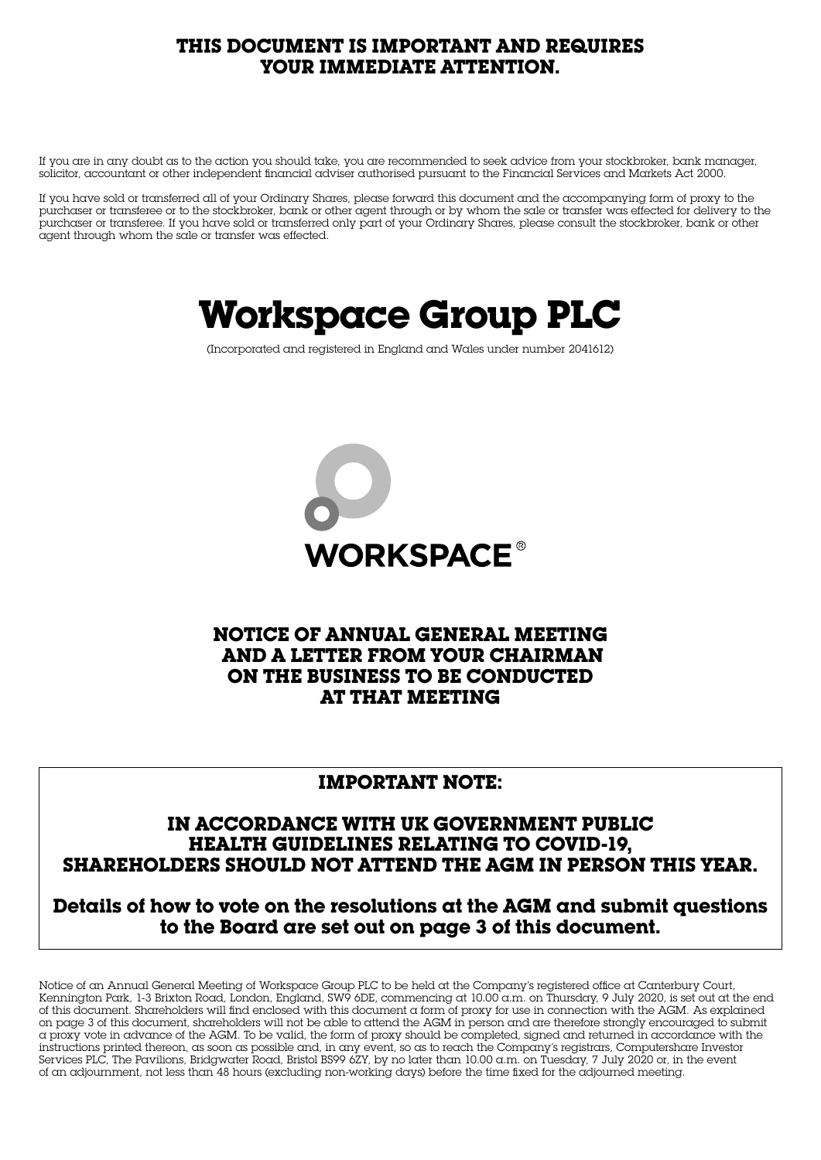# **THIS DOCUMENT IS IMPORTANT AND REQUIRES YOUR IMMEDIATE ATTENTION.**

If you are in any doubt as to the action you should take, you are recommended to seek advice from your stockbroker, bank manager, solicitor, accountant or other independent financial adviser authorised pursuant to the Financial Services and Markets Act 2000.

If you have sold or transferred all of your Ordinary Shares, please forward this document and the accompanying form of proxy to the purchaser or transferee or to the stockbroker, bank or other agent through or by whom the sale or transfer was effected for delivery to the purchaser or transferee. If you have sold or transferred only part of your Ordinary Shares, please consult the stockbroker, bank or other agent through whom the sale or transfer was effected.

# **Workspace Group PLC**

(Incorporated and registered in England and Wales under number 2041612)



# **NOTICE OF ANNUAL GENERAL MEETING AND A LETTER FROM YOUR CHAIRMAN ON THE BUSINESS TO BE CONDUCTED AT THAT MEETING**

### **IMPORTANT NOTE:**

### **IN ACCORDANCE WITH UK GOVERNMENT PUBLIC HEALTH GUIDELINES RELATING TO COVID-19, SHAREHOLDERS SHOULD NOT ATTEND THE AGM IN PERSON THIS YEAR.**

**Details of how to vote on the resolutions at the AGM and submit questions to the Board are set out on page 3 of this document.**

Notice of an Annual General Meeting of Workspace Group PLC to be held at the Company's registered office at Canterbury Court, Kennington Park, 1-3 Brixton Road, London, England, SW9 6DE, commencing at 10.00 a.m. on Thursday, 9 July 2020, is set out at the end of this document. Shareholders will find enclosed with this document a form of proxy for use in connection with the AGM. As explained on page 3 of this document, shareholders will not be able to attend the AGM in person and are therefore strongly encouraged to submit a proxy vote in advance of the AGM. To be valid, the form of proxy should be completed, signed and returned in accordance with the instructions printed thereon, as soon as possible and, in any event, so as to reach the Company's registrars, Computershare Investor Services PLC, The Pavilions, Bridgwater Road, Bristol BS99 6ZY, by no later than 10.00 a.m. on Tuesday, 7 July 2020 or, in the event of an adjournment, not less than 48 hours (excluding non-working days) before the time fixed for the adjourned meeting.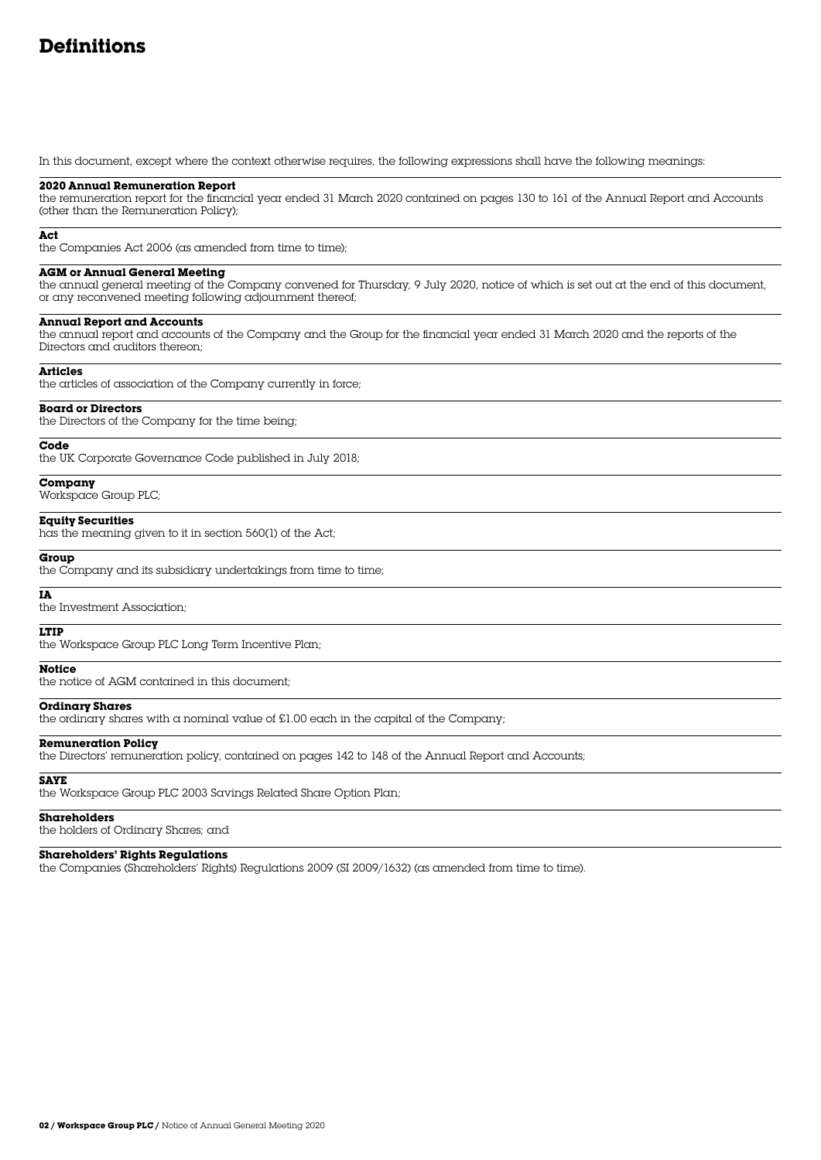# **Definitions**

In this document, except where the context otherwise requires, the following expressions shall have the following meanings:

#### **2020 Annual Remuneration Report**

the remuneration report for the financial year ended 31 March 2020 contained on pages 130 to 161 of the Annual Report and Accounts (other than the Remuneration Policy);

#### **Act**

the Companies Act 2006 (as amended from time to time);

#### **AGM or Annual General Meeting**

the annual general meeting of the Company convened for Thursday, 9 July 2020, notice of which is set out at the end of this document, or any reconvened meeting following adjournment thereof;

#### **Annual Report and Accounts**

the annual report and accounts of the Company and the Group for the financial year ended 31 March 2020 and the reports of the Directors and auditors thereon;

#### **Articles**

the articles of association of the Company currently in force;

#### **Board or Directors**

the Directors of the Company for the time being;

#### **Code**

the UK Corporate Governance Code published in July 2018;

#### **Company**

Workspace Group PLC;

#### **Equity Securities**

has the meaning given to it in section 560(1) of the Act;

#### **Group**

the Company and its subsidiary undertakings from time to time;

#### **IA**

the Investment Association;

#### **LTIP**

the Workspace Group PLC Long Term Incentive Plan;

#### **Notice**

the notice of AGM contained in this document;

#### **Ordinary Shares**

the ordinary shares with a nominal value of £1.00 each in the capital of the Company;

#### **Remuneration Policy**

the Directors' remuneration policy, contained on pages 142 to 148 of the Annual Report and Accounts;

#### **SAYE**

the Workspace Group PLC 2003 Savings Related Share Option Plan;

#### **Shareholders**

the holders of Ordinary Shares; and

#### **Shareholders' Rights Regulations**

the Companies (Shareholders' Rights) Regulations 2009 (SI 2009/1632) (as amended from time to time).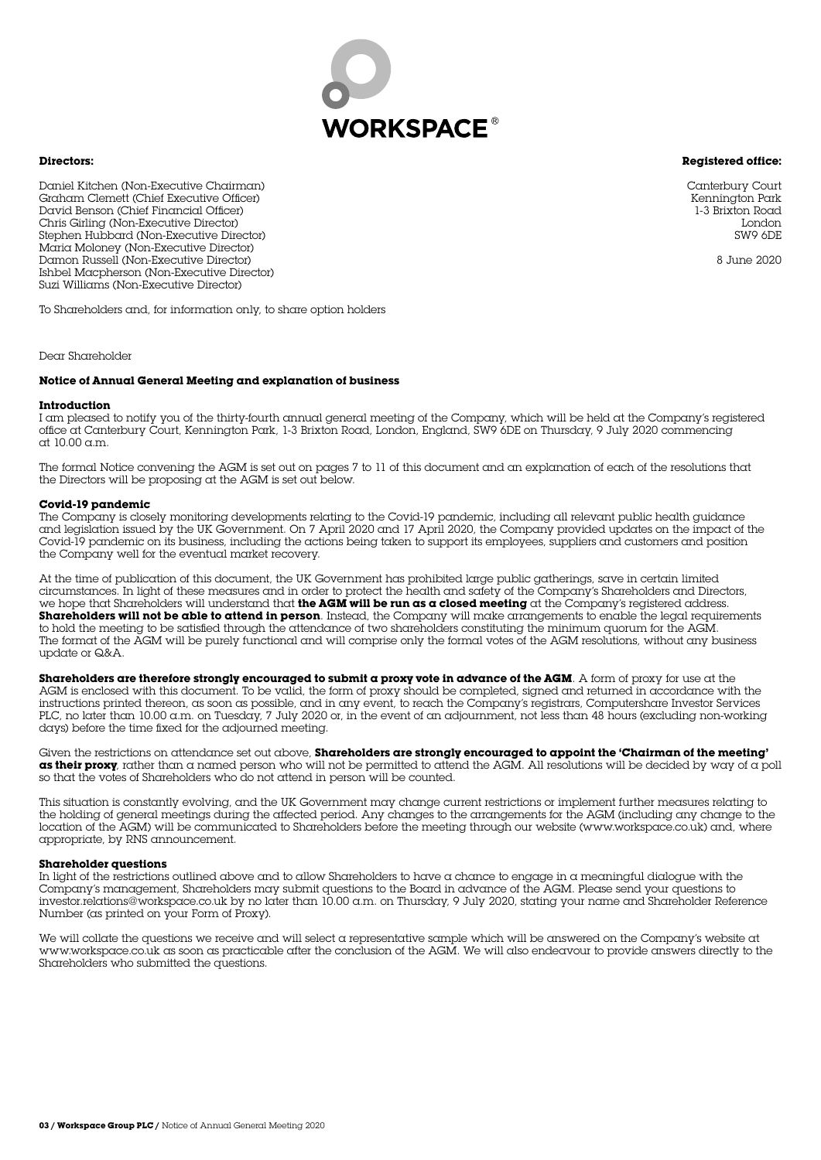

#### **Registered office:**

**Directors:**

Daniel Kitchen (Non-Executive Chairman) Graham Clemett (Chief Executive Officer) David Benson (Chief Financial Officer) Chris Girling (Non-Executive Director) Stephen Hubbard (Non-Executive Director) Maria Moloney (Non-Executive Director) Damon Russell (Non-Executive Director) Ishbel Macpherson (Non-Executive Director) Suzi Williams (Non-Executive Director)

To Shareholders and, for information only, to share option holders

Dear Shareholder

#### **Notice of Annual General Meeting and explanation of business**

#### **Introduction**

I am pleased to notify you of the thirty-fourth annual general meeting of the Company, which will be held at the Company's registered office at Canterbury Court, Kennington Park, 1-3 Brixton Road, London, England, SW9 6DE on Thursday, 9 July 2020 commencing at 10.00 a.m.

The formal Notice convening the AGM is set out on pages 7 to 11 of this document and an explanation of each of the resolutions that the Directors will be proposing at the AGM is set out below.

#### **Covid-19 pandemic**

The Company is closely monitoring developments relating to the Covid-19 pandemic, including all relevant public health guidance and legislation issued by the UK Government. On 7 April 2020 and 17 April 2020, the Company provided updates on the impact of the Covid-19 pandemic on its business, including the actions being taken to support its employees, suppliers and customers and position the Company well for the eventual market recovery.

At the time of publication of this document, the UK Government has prohibited large public gatherings, save in certain limited circumstances. In light of these measures and in order to protect the health and safety of the Company's Shareholders and Directors, we hope that Shareholders will understand that **the AGM will be run as a closed meeting** at the Company's registered address. **Shareholders will not be able to attend in person**. Instead, the Company will make arrangements to enable the legal requirements to hold the meeting to be satisfied through the attendance of two shareholders constituting the minimum quorum for the AGM. The format of the AGM will be purely functional and will comprise only the formal votes of the AGM resolutions, without any business update or Q&A.

Shareholders are therefore strongly encouraged to submit a proxy vote in advance of the AGM. A form of proxy for use at the AGM is enclosed with this document. To be valid, the form of proxy should be completed, signed and returned in accordance with the instructions printed thereon, as soon as possible, and in any event, to reach the Company's registrars, Computershare Investor Services PLC, no later than 10.00 a.m. on Tuesday, 7 July 2020 or, in the event of an adjournment, not less than 48 hours (excluding non-working days) before the time fixed for the adjourned meeting.

Given the restrictions on attendance set out above, **Shareholders are strongly encouraged to appoint the 'Chairman of the meeting' as their proxy**, rather than a named person who will not be permitted to attend the AGM. All resolutions will be decided by way of a poll so that the votes of Shareholders who do not attend in person will be counted.

This situation is constantly evolving, and the UK Government may change current restrictions or implement further measures relating to the holding of general meetings during the affected period. Any changes to the arrangements for the AGM (including any change to the location of the AGM) will be communicated to Shareholders before the meeting through our website (www.workspace.co.uk) and, where appropriate, by RNS announcement.

#### **Shareholder questions**

In light of the restrictions outlined above and to allow Shareholders to have a chance to engage in a meaningful dialogue with the Company's management, Shareholders may submit questions to the Board in advance of the AGM. Please send your questions to investor.relations@workspace.co.uk by no later than 10.00 a.m. on Thursday, 9 July 2020, stating your name and Shareholder Reference Number (as printed on your Form of Proxy).

We will collate the questions we receive and will select a representative sample which will be answered on the Company's website at www.workspace.co.uk as soon as practicable after the conclusion of the AGM. We will also endeavour to provide answers directly to the Shareholders who submitted the questions.

Canterbury Court Kennington Park 1-3 Brixton Road London SW9 6DE

8 June 2020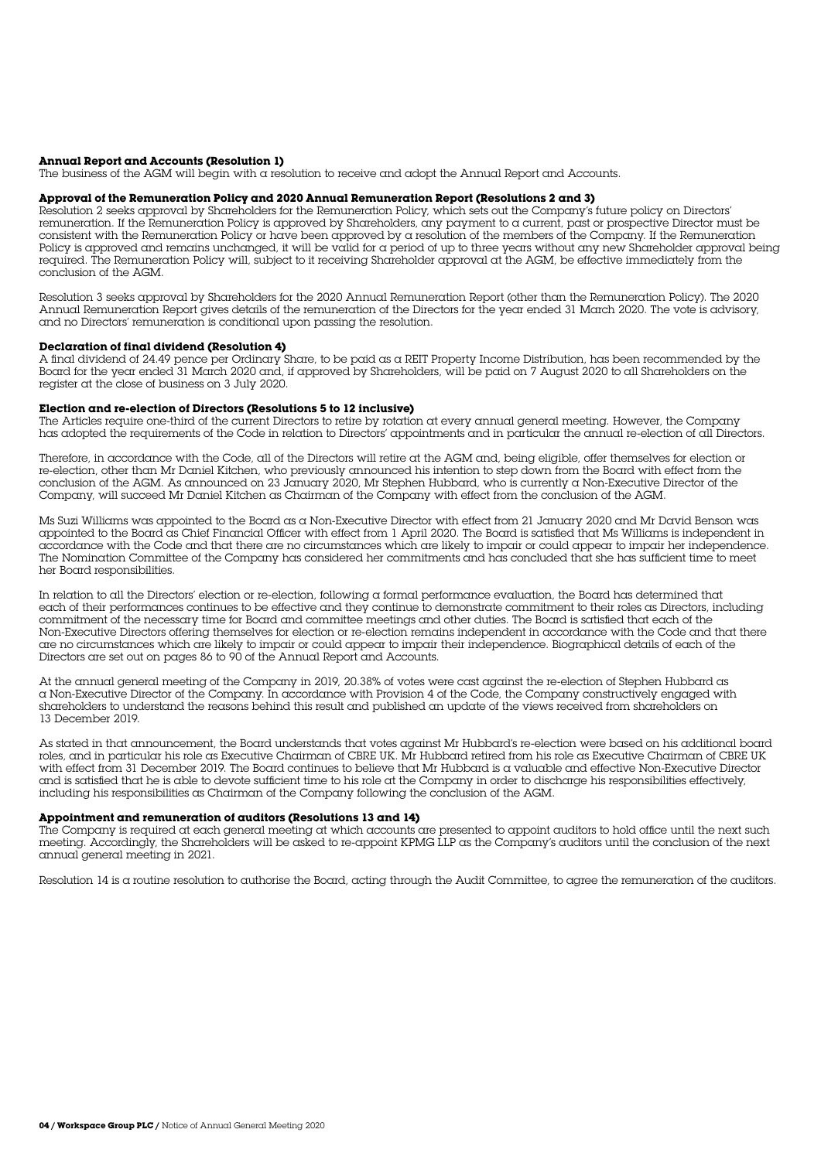#### **Annual Report and Accounts (Resolution 1)**

The business of the AGM will begin with a resolution to receive and adopt the Annual Report and Accounts.

#### **Approval of the Remuneration Policy and 2020 Annual Remuneration Report (Resolutions 2 and 3)**

Resolution 2 seeks approval by Shareholders for the Remuneration Policy, which sets out the Company's future policy on Directors' remuneration. If the Remuneration Policy is approved by Shareholders, any payment to a current, past or prospective Director must be consistent with the Remuneration Policy or have been approved by a resolution of the members of the Company. If the Remuneration Policy is approved and remains unchanged, it will be valid for a period of up to three years without any new Shareholder approval being required. The Remuneration Policy will, subject to it receiving Shareholder approval at the AGM, be effective immediately from the conclusion of the AGM.

Resolution 3 seeks approval by Shareholders for the 2020 Annual Remuneration Report (other than the Remuneration Policy). The 2020 Annual Remuneration Report gives details of the remuneration of the Directors for the year ended 31 March 2020. The vote is advisory, and no Directors' remuneration is conditional upon passing the resolution.

#### **Declaration of final dividend (Resolution 4)**

A final dividend of 24.49 pence per Ordinary Share, to be paid as a REIT Property Income Distribution, has been recommended by the Board for the year ended 31 March 2020 and, if approved by Shareholders, will be paid on 7 August 2020 to all Shareholders on the register at the close of business on 3 July 2020.

#### **Election and re-election of Directors (Resolutions 5 to 12 inclusive)**

The Articles require one-third of the current Directors to retire by rotation at every annual general meeting. However, the Company has adopted the requirements of the Code in relation to Directors' appointments and in particular the annual re-election of all Directors.

Therefore, in accordance with the Code, all of the Directors will retire at the AGM and, being eligible, offer themselves for election or re-election, other than Mr Daniel Kitchen, who previously announced his intention to step down from the Board with effect from the conclusion of the AGM. As announced on 23 January 2020, Mr Stephen Hubbard, who is currently a Non-Executive Director of the Company, will succeed Mr Daniel Kitchen as Chairman of the Company with effect from the conclusion of the AGM.

Ms Suzi Williams was appointed to the Board as a Non-Executive Director with effect from 21 January 2020 and Mr David Benson was appointed to the Board as Chief Financial Officer with effect from 1 April 2020. The Board is satisfied that Ms Williams is independent in accordance with the Code and that there are no circumstances which are likely to impair or could appear to impair her independence. The Nomination Committee of the Company has considered her commitments and has concluded that she has sufficient time to meet her Board responsibilities.

In relation to all the Directors' election or re-election, following a formal performance evaluation, the Board has determined that each of their performances continues to be effective and they continue to demonstrate commitment to their roles as Directors, including commitment of the necessary time for Board and committee meetings and other duties. The Board is satisfied that each of the Non-Executive Directors offering themselves for election or re-election remains independent in accordance with the Code and that there are no circumstances which are likely to impair or could appear to impair their independence. Biographical details of each of the Directors are set out on pages 86 to 90 of the Annual Report and Accounts.

At the annual general meeting of the Company in 2019, 20.38% of votes were cast against the re-election of Stephen Hubbard as a Non-Executive Director of the Company. In accordance with Provision 4 of the Code, the Company constructively engaged with shareholders to understand the reasons behind this result and published an update of the views received from shareholders on 13 December 2019.

As stated in that announcement, the Board understands that votes against Mr Hubbard's re-election were based on his additional board roles, and in particular his role as Executive Chairman of CBRE UK. Mr Hubbard retired from his role as Executive Chairman of CBRE UK with effect from 31 December 2019. The Board continues to believe that Mr Hubbard is a valuable and effective Non-Executive Director and is satisfied that he is able to devote sufficient time to his role at the Company in order to discharge his responsibilities effectively, including his responsibilities as Chairman of the Company following the conclusion of the AGM.

#### **Appointment and remuneration of auditors (Resolutions 13 and 14)**

The Company is required at each general meeting at which accounts are presented to appoint auditors to hold office until the next such meeting. Accordingly, the Shareholders will be asked to re-appoint KPMG LLP as the Company's auditors until the conclusion of the next annual general meeting in 2021.

Resolution 14 is a routine resolution to authorise the Board, acting through the Audit Committee, to agree the remuneration of the auditors.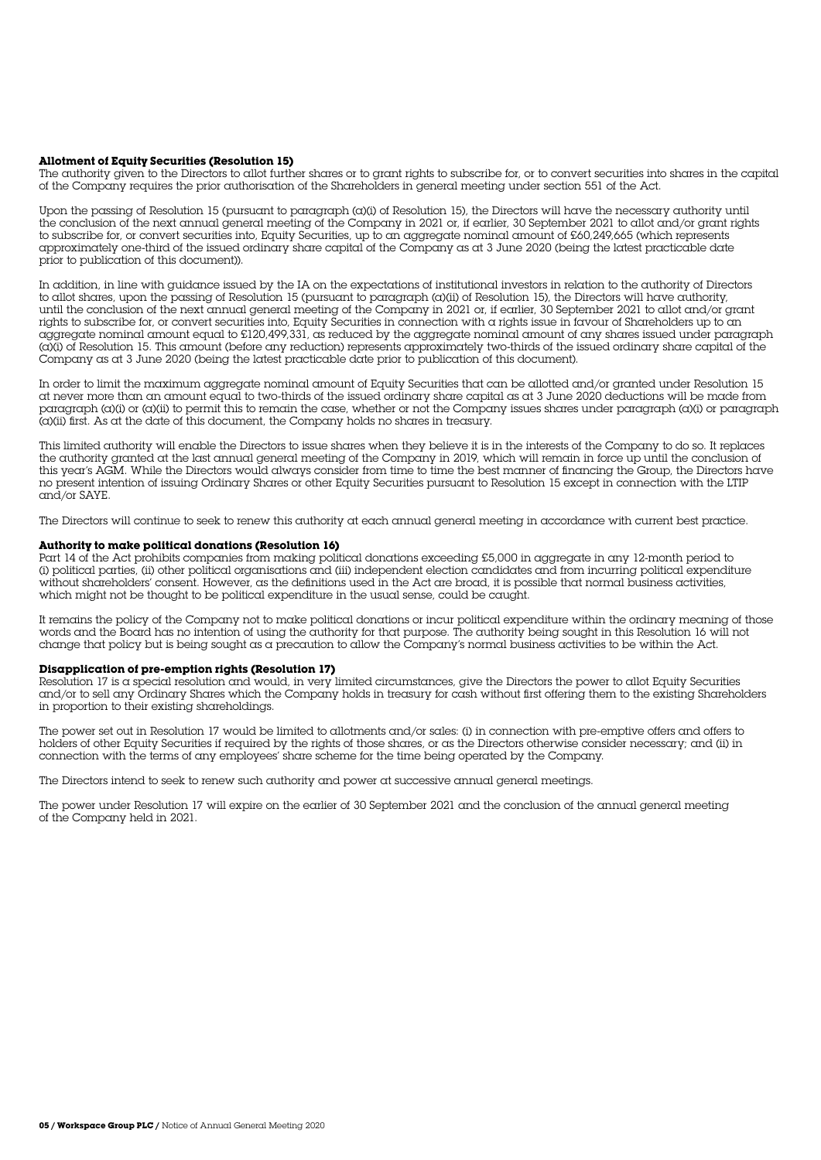#### **Allotment of Equity Securities (Resolution 15)**

The authority given to the Directors to allot further shares or to grant rights to subscribe for, or to convert securities into shares in the capital of the Company requires the prior authorisation of the Shareholders in general meeting under section 551 of the Act.

Upon the passing of Resolution 15 (pursuant to paragraph (a)(i) of Resolution 15), the Directors will have the necessary authority until the conclusion of the next annual general meeting of the Company in 2021 or, if earlier, 30 September 2021 to allot and/or grant rights to subscribe for, or convert securities into, Equity Securities, up to an aggregate nominal amount of £60,249,665 (which represents approximately one-third of the issued ordinary share capital of the Company as at 3 June 2020 (being the latest practicable date prior to publication of this document)).

In addition, in line with guidance issued by the IA on the expectations of institutional investors in relation to the authority of Directors to allot shares, upon the passing of Resolution 15 (pursuant to paragraph (a)(ii) of Resolution 15), the Directors will have authority, until the conclusion of the next annual general meeting of the Company in 2021 or, if earlier, 30 September 2021 to allot and/or grant rights to subscribe for, or convert securities into, Equity Securities in connection with a rights issue in favour of Shareholders up to an aggregate nominal amount equal to £120,499,331, as reduced by the aggregate nominal amount of any shares issued under paragraph (a)(i) of Resolution 15. This amount (before any reduction) represents approximately two-thirds of the issued ordinary share capital of the Company as at 3 June 2020 (being the latest practicable date prior to publication of this document).

In order to limit the maximum aggregate nominal amount of Equity Securities that can be allotted and/or granted under Resolution 15 at never more than an amount equal to two-thirds of the issued ordinary share capital as at 3 June 2020 deductions will be made from paragraph (a)(i) or (a)(ii) to permit this to remain the case, whether or not the Company issues shares under paragraph (a)(i) or paragraph (a)(ii) first. As at the date of this document, the Company holds no shares in treasury.

This limited authority will enable the Directors to issue shares when they believe it is in the interests of the Company to do so. It replaces the authority granted at the last annual general meeting of the Company in 2019, which will remain in force up until the conclusion of this year's AGM. While the Directors would always consider from time to time the best manner of financing the Group, the Directors have no present intention of issuing Ordinary Shares or other Equity Securities pursuant to Resolution 15 except in connection with the LTIP and/or SAYE.

The Directors will continue to seek to renew this authority at each annual general meeting in accordance with current best practice.

#### **Authority to make political donations (Resolution 16)**

Part 14 of the Act prohibits companies from making political donations exceeding £5,000 in aggregate in any 12-month period to (i) political parties, (ii) other political organisations and (iii) independent election candidates and from incurring political expenditure without shareholders' consent. However, as the definitions used in the Act are broad, it is possible that normal business activities, which might not be thought to be political expenditure in the usual sense, could be caught.

It remains the policy of the Company not to make political donations or incur political expenditure within the ordinary meaning of those words and the Board has no intention of using the authority for that purpose. The authority being sought in this Resolution 16 will not change that policy but is being sought as a precaution to allow the Company's normal business activities to be within the Act.

#### **Disapplication of pre-emption rights (Resolution 17)**

Resolution 17 is a special resolution and would, in very limited circumstances, give the Directors the power to allot Equity Securities and/or to sell any Ordinary Shares which the Company holds in treasury for cash without first offering them to the existing Shareholders in proportion to their existing shareholdings.

The power set out in Resolution 17 would be limited to allotments and/or sales: (i) in connection with pre-emptive offers and offers to holders of other Equity Securities if required by the rights of those shares, or as the Directors otherwise consider necessary; and (ii) in connection with the terms of any employees' share scheme for the time being operated by the Company.

The Directors intend to seek to renew such authority and power at successive annual general meetings.

The power under Resolution 17 will expire on the earlier of 30 September 2021 and the conclusion of the annual general meeting of the Company held in 2021.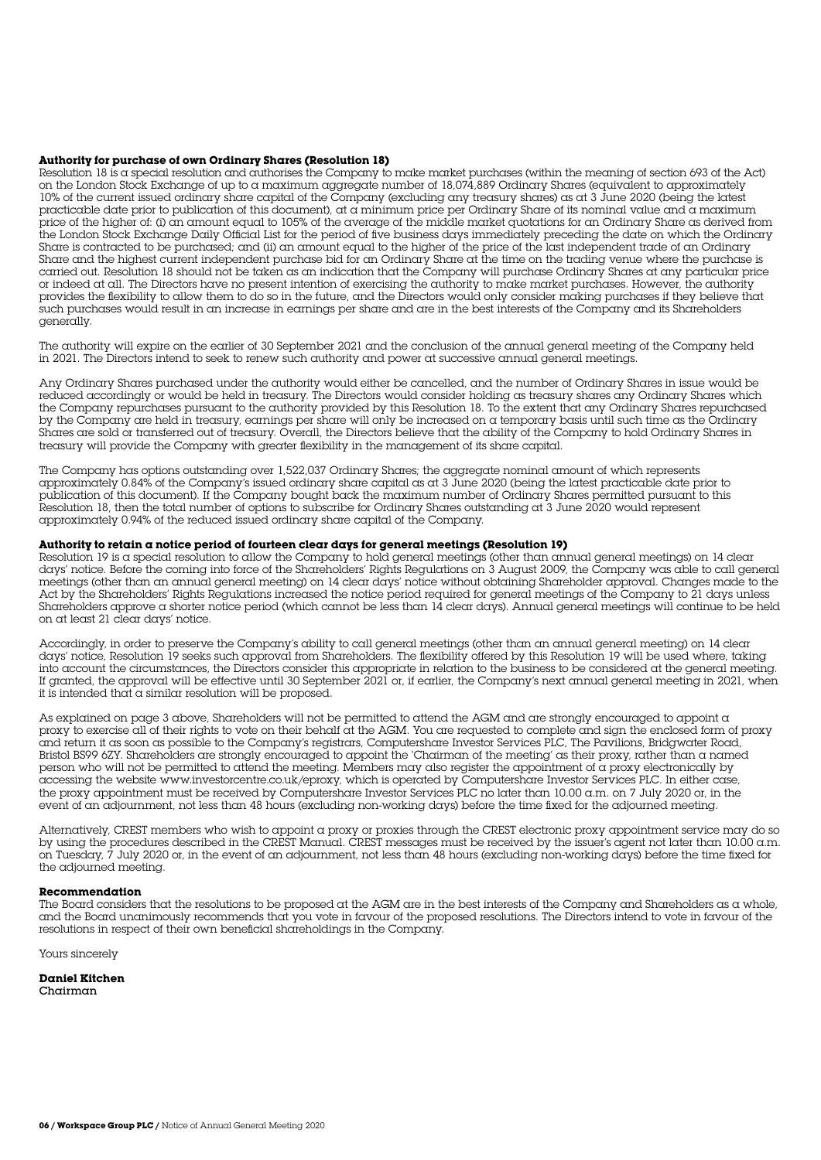#### **Authority for purchase of own Ordinary Shares (Resolution 18)**

Resolution 18 is a special resolution and authorises the Company to make market purchases (within the meaning of section 693 of the Act) on the London Stock Exchange of up to a maximum aggregate number of 18,074,889 Ordinary Shares (equivalent to approximately 10% of the current issued ordinary share capital of the Company (excluding any treasury shares) as at 3 June 2020 (being the latest practicable date prior to publication of this document), at a minimum price per Ordinary Share of its nominal value and a maximum price of the higher of: (i) an amount equal to 105% of the average of the middle market quotations for an Ordinary Share as derived from the London Stock Exchange Daily Official List for the period of five business days immediately preceding the date on which the Ordinary Share is contracted to be purchased; and (ii) an amount equal to the higher of the price of the last independent trade of an Ordinary Share and the highest current independent purchase bid for an Ordinary Share at the time on the trading venue where the purchase is carried out. Resolution 18 should not be taken as an indication that the Company will purchase Ordinary Shares at any particular price or indeed at all. The Directors have no present intention of exercising the authority to make market purchases. However, the authority provides the flexibility to allow them to do so in the future, and the Directors would only consider making purchases if they believe that such purchases would result in an increase in earnings per share and are in the best interests of the Company and its Shareholders generally.

The authority will expire on the earlier of 30 September 2021 and the conclusion of the annual general meeting of the Company held in 2021. The Directors intend to seek to renew such authority and power at successive annual general meetings.

Any Ordinary Shares purchased under the authority would either be cancelled, and the number of Ordinary Shares in issue would be reduced accordingly or would be held in treasury. The Directors would consider holding as treasury shares any Ordinary Shares which the Company repurchases pursuant to the authority provided by this Resolution 18. To the extent that any Ordinary Shares repurchased by the Company are held in treasury, earnings per share will only be increased on a temporary basis until such time as the Ordinary Shares are sold or transferred out of treasury. Overall, the Directors believe that the ability of the Company to hold Ordinary Shares in treasury will provide the Company with greater flexibility in the management of its share capital.

The Company has options outstanding over 1,522,037 Ordinary Shares; the aggregate nominal amount of which represents approximately 0.84% of the Company's issued ordinary share capital as at 3 June 2020 (being the latest practicable date prior to publication of this document). If the Company bought back the maximum number of Ordinary Shares permitted pursuant to this Resolution 18, then the total number of options to subscribe for Ordinary Shares outstanding at 3 June 2020 would represent approximately 0.94% of the reduced issued ordinary share capital of the Company.

#### **Authority to retain a notice period of fourteen clear days for general meetings (Resolution 19)**

Resolution 19 is a special resolution to allow the Company to hold general meetings (other than annual general meetings) on 14 clear days' notice. Before the coming into force of the Shareholders' Rights Regulations on 3 August 2009, the Company was able to call general meetings (other than an annual general meeting) on 14 clear days' notice without obtaining Shareholder approval. Changes made to the Act by the Shareholders' Rights Regulations increased the notice period required for general meetings of the Company to 21 days unless Shareholders approve a shorter notice period (which cannot be less than 14 clear days). Annual general meetings will continue to be held on at least 21 clear days' notice.

Accordingly, in order to preserve the Company's ability to call general meetings (other than an annual general meeting) on 14 clear days' notice, Resolution 19 seeks such approval from Shareholders. The flexibility offered by this Resolution 19 will be used where, taking into account the circumstances, the Directors consider this appropriate in relation to the business to be considered at the general meeting. If granted, the approval will be effective until 30 September 2021 or, if earlier, the Company's next annual general meeting in 2021, when it is intended that  $\alpha$  similar resolution will be proposed.

As explained on page 3 above, Shareholders will not be permitted to attend the AGM and are strongly encouraged to appoint a proxy to exercise all of their rights to vote on their behalf at the AGM. You are requested to complete and sign the enclosed form of proxy and return it as soon as possible to the Company's registrars, Computershare Investor Services PLC, The Pavilions, Bridgwater Road, Bristol BS99 6ZY. Shareholders are strongly encouraged to appoint the 'Chairman of the meeting' as their proxy, rather than a named person who will not be permitted to attend the meeting. Members may also register the appointment of a proxy electronically by accessing the website www.investorcentre.co.uk/eproxy, which is operated by Computershare Investor Services PLC. In either case, the proxy appointment must be received by Computershare Investor Services PLC no later than 10.00 a.m. on 7 July 2020 or, in the event of an adjournment, not less than 48 hours (excluding non-working days) before the time fixed for the adjourned meeting.

Alternatively, CREST members who wish to appoint a proxy or proxies through the CREST electronic proxy appointment service may do so by using the procedures described in the CREST Manual. CREST messages must be received by the issuer's agent not later than 10.00 a.m. on Tuesday, 7 July 2020 or, in the event of an adjournment, not less than 48 hours (excluding non-working days) before the time fixed for the adjourned meeting.

#### **Recommendation**

The Board considers that the resolutions to be proposed at the AGM are in the best interests of the Company and Shareholders as a whole, and the Board unanimously recommends that you vote in favour of the proposed resolutions. The Directors intend to vote in favour of the resolutions in respect of their own beneficial shareholdings in the Company.

Yours sincerely

**Daniel Kitchen** Chairman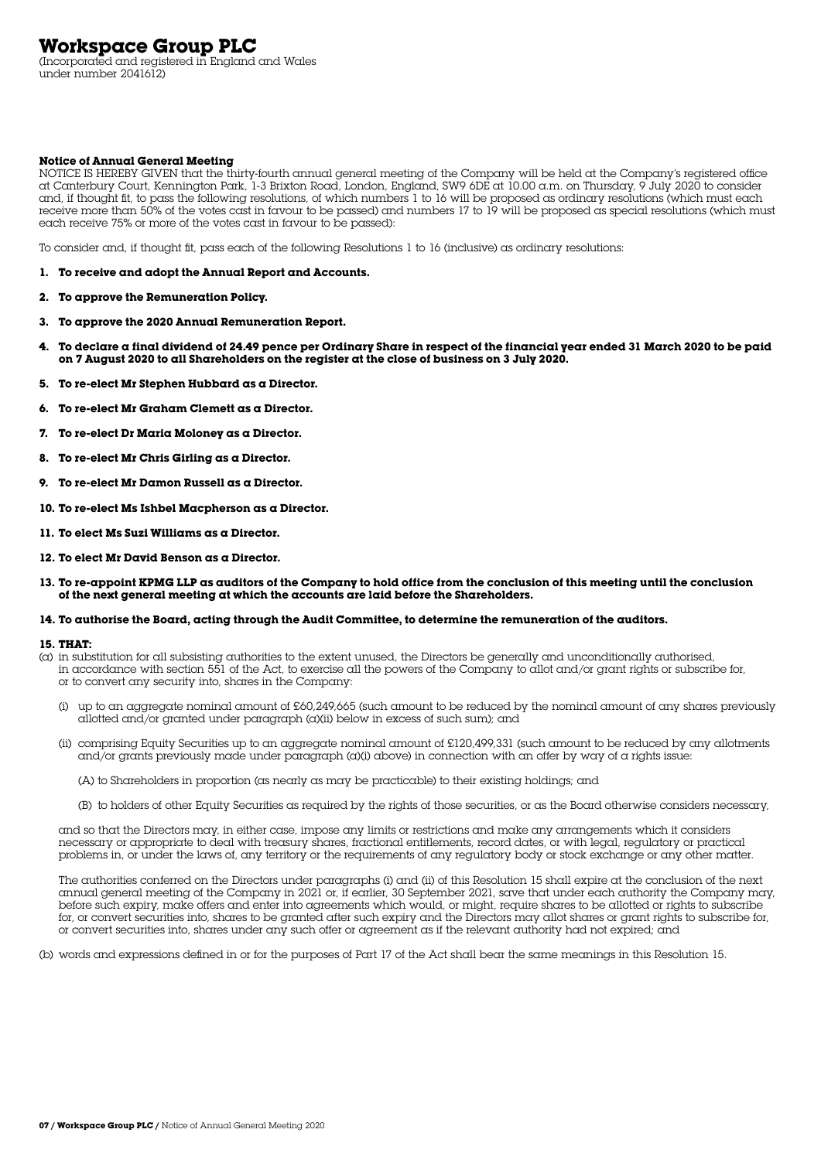# **Workspace Group PLC**

(Incorporated and registered in England and Wales under number 2041612)

#### **Notice of Annual General Meeting**

NOTICE IS HEREBY GIVEN that the thirty-fourth annual general meeting of the Company will be held at the Company's registered office at Canterbury Court, Kennington Park, 1-3 Brixton Road, London, England, SW9 6DE at 10.00 a.m. on Thursday, 9 July 2020 to consider and, if thought fit, to pass the following resolutions, of which numbers 1 to 16 will be proposed as ordinary resolutions (which must each receive more than 50% of the votes cast in favour to be passed) and numbers 17 to 19 will be proposed as special resolutions (which must each receive 75% or more of the votes cast in favour to be passed):

To consider and, if thought fit, pass each of the following Resolutions 1 to 16 (inclusive) as ordinary resolutions:

- **1. To receive and adopt the Annual Report and Accounts.**
- **2. To approve the Remuneration Policy.**
- **3. To approve the 2020 Annual Remuneration Report.**
- **4. To declare a final dividend of 24.49 pence per Ordinary Share in respect of the financial year ended 31 March 2020 to be paid on 7 August 2020 to all Shareholders on the register at the close of business on 3 July 2020.**
- **5. To re-elect Mr Stephen Hubbard as a Director.**
- **6. To re-elect Mr Graham Clemett as a Director.**
- **7. To re-elect Dr Maria Moloney as a Director.**
- **8. To re-elect Mr Chris Girling as a Director.**
- **9. To re-elect Mr Damon Russell as a Director.**
- **10. To re-elect Ms Ishbel Macpherson as a Director.**
- **11. To elect Ms Suzi Williams as a Director.**
- **12. To elect Mr David Benson as a Director.**
- **13. To re-appoint KPMG LLP as auditors of the Company to hold office from the conclusion of this meeting until the conclusion of the next general meeting at which the accounts are laid before the Shareholders.**

#### **14. To authorise the Board, acting through the Audit Committee, to determine the remuneration of the auditors.**

#### **15. THAT:**

- (a) in substitution for all subsisting authorities to the extent unused, the Directors be generally and unconditionally authorised, in accordance with section 551 of the Act, to exercise all the powers of the Company to allot and/or grant rights or subscribe for, or to convert any security into, shares in the Company:
	- (i) up to an aggregate nominal amount of £60,249,665 (such amount to be reduced by the nominal amount of any shares previously allotted and/or granted under paragraph (a)(ii) below in excess of such sum); and
	- (ii) comprising Equity Securities up to an aggregate nominal amount of £120,499,331 (such amount to be reduced by any allotments and/or grants previously made under paragraph (a)(i) above) in connection with an offer by way of a rights issue:
		- (A) to Shareholders in proportion (as nearly as may be practicable) to their existing holdings; and
		- (B) to holders of other Equity Securities as required by the rights of those securities, or as the Board otherwise considers necessary,

 and so that the Directors may, in either case, impose any limits or restrictions and make any arrangements which it considers necessary or appropriate to deal with treasury shares, fractional entitlements, record dates, or with legal, regulatory or practical problems in, or under the laws of, any territory or the requirements of any regulatory body or stock exchange or any other matter.

 The authorities conferred on the Directors under paragraphs (i) and (ii) of this Resolution 15 shall expire at the conclusion of the next annual general meeting of the Company in 2021 or, if earlier, 30 September 2021, save that under each authority the Company may, before such expiry, make offers and enter into agreements which would, or might, require shares to be allotted or rights to subscribe for, or convert securities into, shares to be granted after such expiry and the Directors may allot shares or grant rights to subscribe for, or convert securities into, shares under any such offer or agreement as if the relevant authority had not expired; and

(b) words and expressions defined in or for the purposes of Part 17 of the Act shall bear the same meanings in this Resolution 15.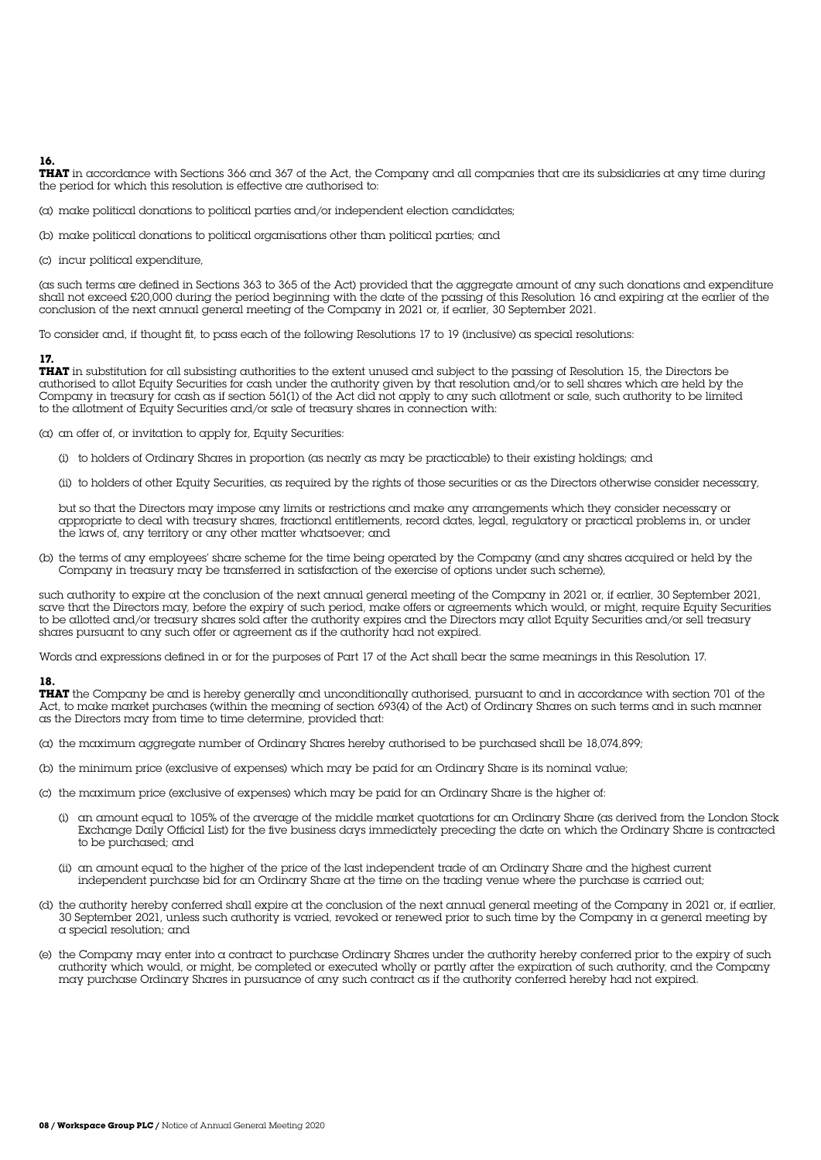**16.** 

**THAT** in accordance with Sections 366 and 367 of the Act, the Company and all companies that are its subsidiaries at any time during the period for which this resolution is effective are authorised to:

- (a) make political donations to political parties and/or independent election candidates;
- (b) make political donations to political organisations other than political parties; and
- (c) incur political expenditure,

(as such terms are defined in Sections 363 to 365 of the Act) provided that the aggregate amount of any such donations and expenditure shall not exceed £20,000 during the period beginning with the date of the passing of this Resolution 16 and expiring at the earlier of the conclusion of the next annual general meeting of the Company in 2021 or, if earlier, 30 September 2021.

To consider and, if thought fit, to pass each of the following Resolutions 17 to 19 (inclusive) as special resolutions:

#### **17.**

**THAT** in substitution for all subsisting authorities to the extent unused and subject to the passing of Resolution 15, the Directors be authorised to allot Equity Securities for cash under the authority given by that resolution and/or to sell shares which are held by the Company in treasury for cash as if section 561(1) of the Act did not apply to any such allotment or sale, such authority to be limited to the allotment of Equity Securities and/or sale of treasury shares in connection with:

(a) an offer of, or invitation to apply for, Equity Securities:

- (i) to holders of Ordinary Shares in proportion (as nearly as may be practicable) to their existing holdings; and
- (ii) to holders of other Equity Securities, as required by the rights of those securities or as the Directors otherwise consider necessary,

 but so that the Directors may impose any limits or restrictions and make any arrangements which they consider necessary or appropriate to deal with treasury shares, fractional entitlements, record dates, legal, regulatory or practical problems in, or under the laws of, any territory or any other matter whatsoever; and

(b) the terms of any employees' share scheme for the time being operated by the Company (and any shares acquired or held by the Company in treasury may be transferred in satisfaction of the exercise of options under such scheme),

such authority to expire at the conclusion of the next annual general meeting of the Company in 2021 or, if earlier, 30 September 2021, save that the Directors may, before the expiry of such period, make offers or agreements which would, or might, require Equity Securities to be allotted and/or treasury shares sold after the authority expires and the Directors may allot Equity Securities and/or sell treasury shares pursuant to any such offer or agreement as if the authority had not expired.

Words and expressions defined in or for the purposes of Part 17 of the Act shall bear the same meanings in this Resolution 17.

#### **18.**

**THAT** the Company be and is hereby generally and unconditionally authorised, pursuant to and in accordance with section 701 of the Act, to make market purchases (within the meaning of section 693(4) of the Act) of Ordinary Shares on such terms and in such manner as the Directors may from time to time determine, provided that:

- (a) the maximum aggregate number of Ordinary Shares hereby authorised to be purchased shall be 18,074,899;
- (b) the minimum price (exclusive of expenses) which may be paid for an Ordinary Share is its nominal value;
- (c) the maximum price (exclusive of expenses) which may be paid for an Ordinary Share is the higher of:
	- (i) an amount equal to 105% of the average of the middle market quotations for an Ordinary Share (as derived from the London Stock Exchange Daily Official List) for the five business days immediately preceding the date on which the Ordinary Share is contracted to be purchased; and
	- (ii) an amount equal to the higher of the price of the last independent trade of an Ordinary Share and the highest current independent purchase bid for an Ordinary Share at the time on the trading venue where the purchase is carried out;
- (d) the authority hereby conferred shall expire at the conclusion of the next annual general meeting of the Company in 2021 or, if earlier, 30 September 2021, unless such authority is varied, revoked or renewed prior to such time by the Company in a general meeting by a special resolution; and
- (e) the Company may enter into a contract to purchase Ordinary Shares under the authority hereby conferred prior to the expiry of such authority which would, or might, be completed or executed wholly or partly after the expiration of such authority, and the Company may purchase Ordinary Shares in pursuance of any such contract as if the authority conferred hereby had not expired.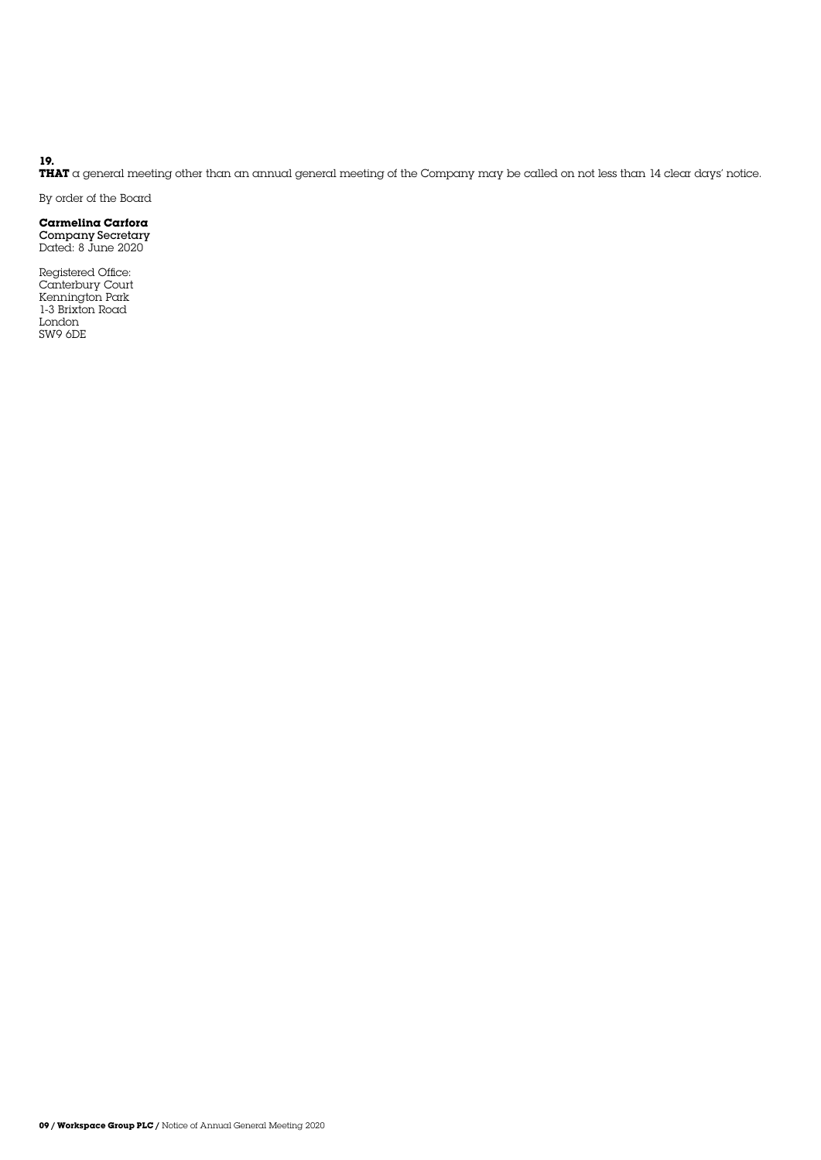#### **19.**

**THAT** a general meeting other than an annual general meeting of the Company may be called on not less than 14 clear days' notice.

By order of the Board

### **Carmelina Carfora**

Company Secretary Dated: 8 June 2020

Registered Office: Canterbury Court Kennington Park 1-3 Brixton Road London SW9 6DE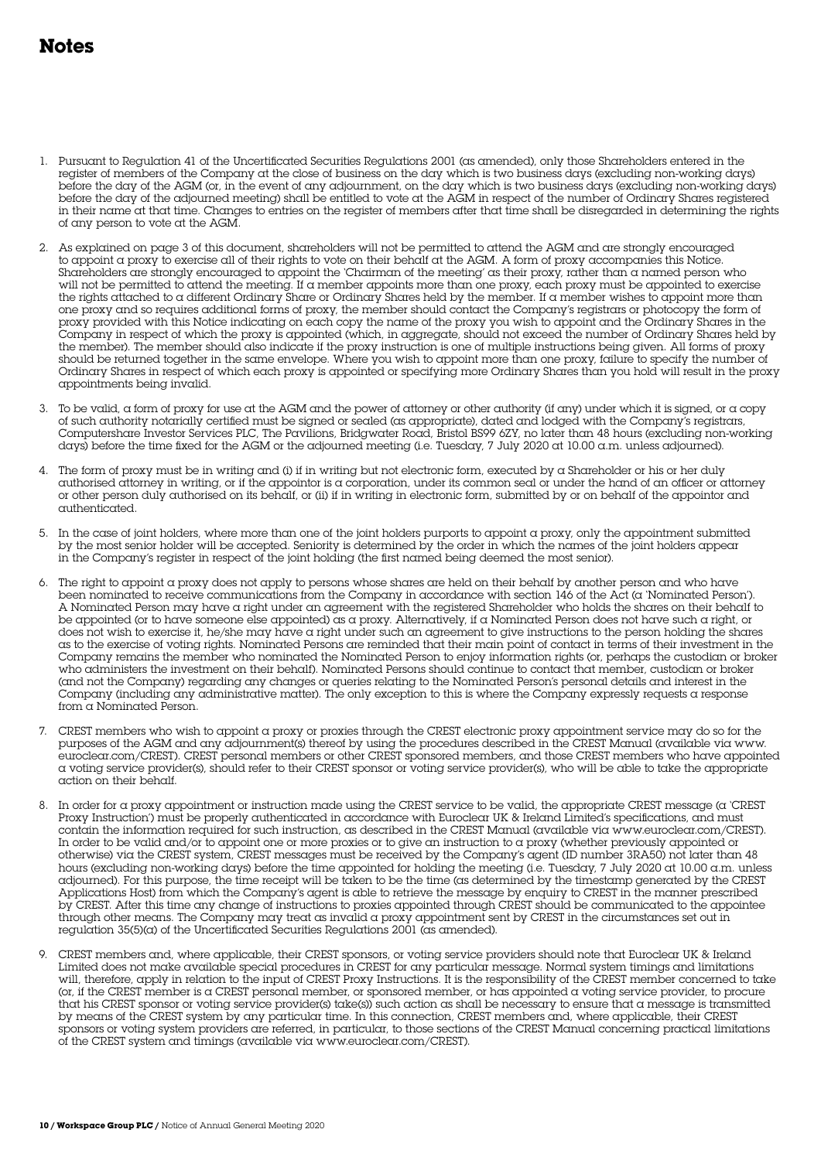# **Notes**

- 1. Pursuant to Regulation 41 of the Uncertificated Securities Regulations 2001 (as amended), only those Shareholders entered in the register of members of the Company at the close of business on the day which is two business days (excluding non-working days) before the day of the AGM (or, in the event of any adjournment, on the day which is two business days (excluding non-working days) before the day of the adjourned meeting) shall be entitled to vote at the AGM in respect of the number of Ordinary Shares registered in their name at that time. Changes to entries on the register of members after that time shall be disregarded in determining the rights of any person to vote at the AGM.
- 2. As explained on page 3 of this document, shareholders will not be permitted to attend the AGM and are strongly encouraged to appoint a proxy to exercise all of their rights to vote on their behalf at the AGM. A form of proxy accompanies this Notice. Shareholders are strongly encouraged to appoint the 'Chairman of the meeting' as their proxy, rather than a named person who will not be permitted to attend the meeting. If a member appoints more than one proxy, each proxy must be appointed to exercise the rights attached to a different Ordinary Share or Ordinary Shares held by the member. If a member wishes to appoint more than one proxy and so requires additional forms of proxy, the member should contact the Company's registrars or photocopy the form of proxy provided with this Notice indicating on each copy the name of the proxy you wish to appoint and the Ordinary Shares in the Company in respect of which the proxy is appointed (which, in aggregate, should not exceed the number of Ordinary Shares held by the member). The member should also indicate if the proxy instruction is one of multiple instructions being given. All forms of proxy should be returned together in the same envelope. Where you wish to appoint more than one proxy, failure to specify the number of Ordinary Shares in respect of which each proxy is appointed or specifying more Ordinary Shares than you hold will result in the proxy appointments being invalid.
- 3. To be valid, a form of proxy for use at the AGM and the power of attorney or other authority (if any) under which it is signed, or a copy of such authority notarially certified must be signed or sealed (as appropriate), dated and lodged with the Company's registrars, Computershare Investor Services PLC, The Pavilions, Bridgwater Road, Bristol BS99 6ZY, no later than 48 hours (excluding non-working days) before the time fixed for the AGM or the adjourned meeting (i.e. Tuesday, 7 July 2020 at 10.00 a.m. unless adjourned).
- 4. The form of proxy must be in writing and (i) if in writing but not electronic form, executed by a Shareholder or his or her duly authorised attorney in writing, or if the appointor is a corporation, under its common seal or under the hand of an officer or attorney or other person duly authorised on its behalf, or (ii) if in writing in electronic form, submitted by or on behalf of the appointor and authenticated.
- 5. In the case of joint holders, where more than one of the joint holders purports to appoint a proxy, only the appointment submitted by the most senior holder will be accepted. Seniority is determined by the order in which the names of the joint holders appear in the Company's register in respect of the joint holding (the first named being deemed the most senior).
- 6. The right to appoint a proxy does not apply to persons whose shares are held on their behalf by another person and who have been nominated to receive communications from the Company in accordance with section 146 of the Act (a 'Nominated Person'). A Nominated Person may have a right under an agreement with the registered Shareholder who holds the shares on their behalf to be appointed (or to have someone else appointed) as a proxy. Alternatively, if a Nominated Person does not have such a right, or does not wish to exercise it, he/she may have a right under such an agreement to give instructions to the person holding the shares as to the exercise of voting rights. Nominated Persons are reminded that their main point of contact in terms of their investment in the Company remains the member who nominated the Nominated Person to enjoy information rights (or, perhaps the custodian or broker who administers the investment on their behalf). Nominated Persons should continue to contact that member, custodian or broker (and not the Company) regarding any changes or queries relating to the Nominated Person's personal details and interest in the Company (including any administrative matter). The only exception to this is where the Company expressly requests a response from a Nominated Person.
- 7. CREST members who wish to appoint a proxy or proxies through the CREST electronic proxy appointment service may do so for the purposes of the AGM and any adjournment(s) thereof by using the procedures described in the CREST Manual (available via www. euroclear.com/CREST). CREST personal members or other CREST sponsored members, and those CREST members who have appointed a voting service provider(s), should refer to their CREST sponsor or voting service provider(s), who will be able to take the appropriate action on their behalf.
- 8. In order for a proxy appointment or instruction made using the CREST service to be valid, the appropriate CREST message (a 'CREST Proxy Instruction') must be properly authenticated in accordance with Euroclear UK & Ireland Limited's specifications, and must contain the information required for such instruction, as described in the CREST Manual (available via www.euroclear.com/CREST). In order to be valid and/or to appoint one or more proxies or to give an instruction to a proxy (whether previously appointed or otherwise) via the CREST system, CREST messages must be received by the Company's agent (ID number 3RA50) not later than 48 hours (excluding non-working days) before the time appointed for holding the meeting (i.e. Tuesday, 7 July 2020 at 10.00 a.m. unless adjourned). For this purpose, the time receipt will be taken to be the time (as determined by the timestamp generated by the CREST Applications Host) from which the Company's agent is able to retrieve the message by enquiry to CREST in the manner prescribed by CREST. After this time any change of instructions to proxies appointed through CREST should be communicated to the appointee through other means. The Company may treat as invalid a proxy appointment sent by CREST in the circumstances set out in regulation 35(5)(a) of the Uncertificated Securities Regulations 2001 (as amended).
- 9. CREST members and, where applicable, their CREST sponsors, or voting service providers should note that Euroclear UK & Ireland Limited does not make available special procedures in CREST for any particular message. Normal system timings and limitations will, therefore, apply in relation to the input of CREST Proxy Instructions. It is the responsibility of the CREST member concerned to take (or, if the CREST member is a CREST personal member, or sponsored member, or has appointed a voting service provider, to procure that his CREST sponsor or voting service provider(s) take(s)) such action as shall be necessary to ensure that a message is transmitted by means of the CREST system by any particular time. In this connection, CREST members and, where applicable, their CREST sponsors or voting system providers are referred, in particular, to those sections of the CREST Manual concerning practical limitations of the CREST system and timings (available via www.euroclear.com/CREST).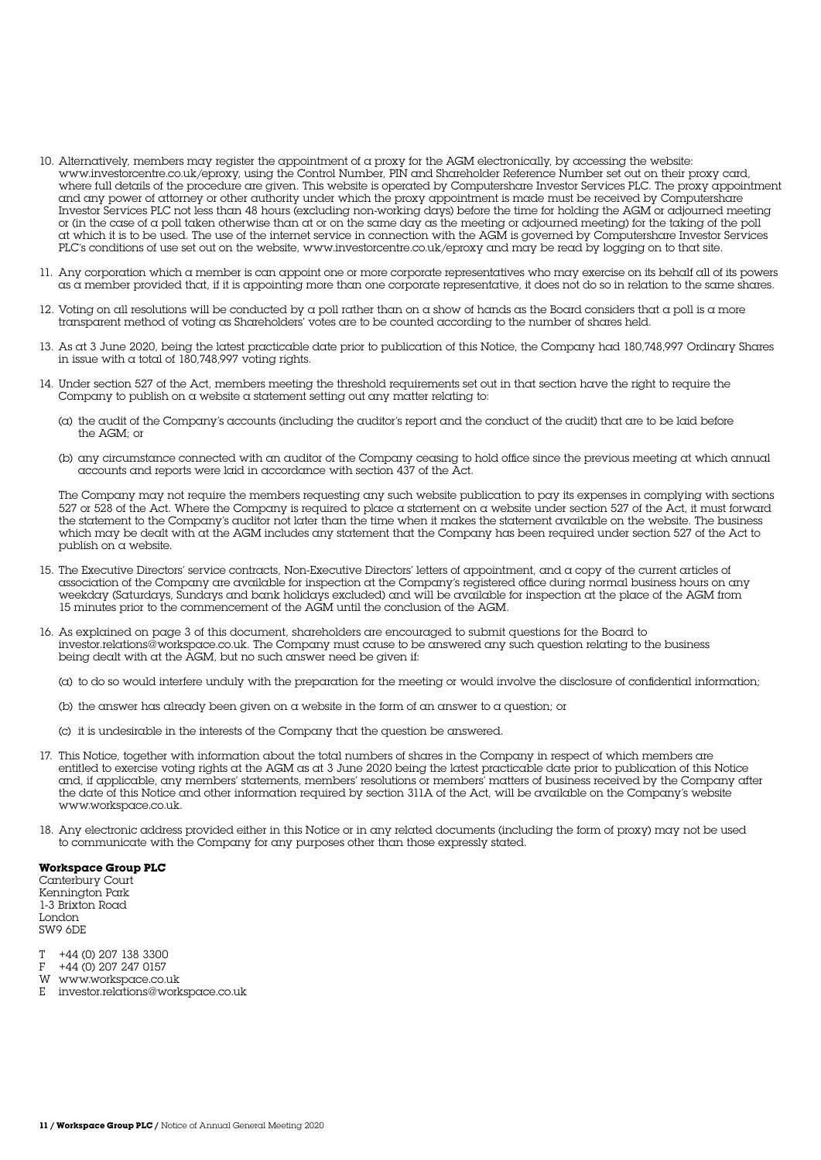- 10. Alternatively, members may register the appointment of a proxy for the AGM electronically, by accessing the website: www.investorcentre.co.uk/eproxy, using the Control Number, PIN and Shareholder Reference Number set out on their proxy card, where full details of the procedure are given. This website is operated by Computershare Investor Services PLC. The proxy appointment and any power of attorney or other authority under which the proxy appointment is made must be received by Computershare Investor Services PLC not less than 48 hours (excluding non-working days) before the time for holding the AGM or adjourned meeting or (in the case of a poll taken otherwise than at or on the same day as the meeting or adjourned meeting) for the taking of the poll at which it is to be used. The use of the internet service in connection with the AGM is governed by Computershare Investor Services PLC's conditions of use set out on the website, www.investorcentre.co.uk/eproxy and may be read by logging on to that site.
- 11. Any corporation which a member is can appoint one or more corporate representatives who may exercise on its behalf all of its powers as a member provided that, if it is appointing more than one corporate representative, it does not do so in relation to the same shares.
- 12. Voting on all resolutions will be conducted by a poll rather than on a show of hands as the Board considers that a poll is a more transparent method of voting as Shareholders' votes are to be counted according to the number of shares held.
- 13. As at 3 June 2020, being the latest practicable date prior to publication of this Notice, the Company had 180,748,997 Ordinary Shares in issue with  $\alpha$  total of 180,748,997 voting rights.
- 14. Under section 527 of the Act, members meeting the threshold requirements set out in that section have the right to require the Company to publish on a website a statement setting out any matter relating to:
	- (a) the audit of the Company's accounts (including the auditor's report and the conduct of the audit) that are to be laid before the AGM; or
	- (b) any circumstance connected with an auditor of the Company ceasing to hold office since the previous meeting at which annual accounts and reports were laid in accordance with section 437 of the Act.

 The Company may not require the members requesting any such website publication to pay its expenses in complying with sections 527 or 528 of the Act. Where the Company is required to place a statement on a website under section 527 of the Act, it must forward the statement to the Company's auditor not later than the time when it makes the statement available on the website. The business which may be dealt with at the AGM includes any statement that the Company has been required under section 527 of the Act to publish on a website.

- 15. The Executive Directors' service contracts, Non-Executive Directors' letters of appointment, and a copy of the current articles of association of the Company are available for inspection at the Company's registered office during normal business hours on any weekday (Saturdays, Sundays and bank holidays excluded) and will be available for inspection at the place of the AGM from 15 minutes prior to the commencement of the AGM until the conclusion of the AGM.
- 16. As explained on page 3 of this document, shareholders are encouraged to submit questions for the Board to investor.relations@workspace.co.uk. The Company must cause to be answered any such question relating to the business being dealt with at the AGM, but no such answer need be given if:
	- (a) to do so would interfere unduly with the preparation for the meeting or would involve the disclosure of confidential information;
	- (b) the answer has already been given on  $\alpha$  website in the form of an answer to  $\alpha$  question; or
	- (c) it is undesirable in the interests of the Company that the question be answered.
- 17. This Notice, together with information about the total numbers of shares in the Company in respect of which members are entitled to exercise voting rights at the AGM as at 3 June 2020 being the latest practicable date prior to publication of this Notice and, if applicable, any members' statements, members' resolutions or members' matters of business received by the Company after the date of this Notice and other information required by section 311A of the Act, will be available on the Company's website www.workspace.co.uk.
- 18. Any electronic address provided either in this Notice or in any related documents (including the form of proxy) may not be used to communicate with the Company for any purposes other than those expressly stated.

#### **Workspace Group PLC**

Canterbury Court Kennington Park 1-3 Brixton Road London SW9 6DE

- $T +44$  (0) 207 138 3300<br>F  $+44$  (0) 207 247 0157
- F +44 (0) 207 247 0157
- W www.workspace.co.uk
- E investor.relations@workspace.co.uk